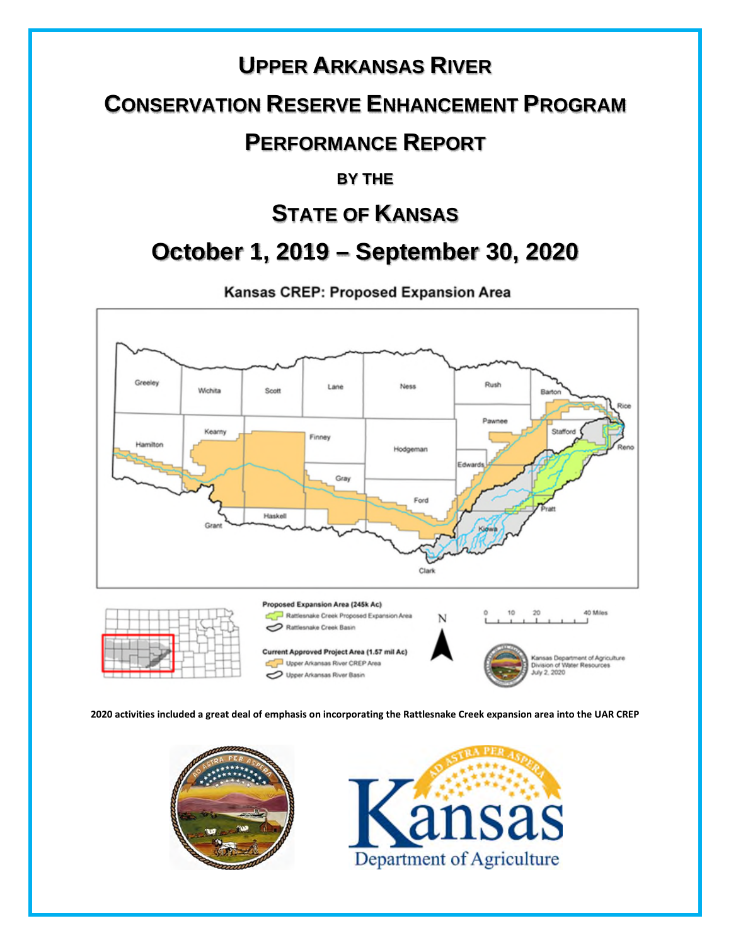# **UPPER ARKANSAS RIVER CONSERVATION RESERVE ENHANCEMENT PROGRAM PERFORMANCE REPORT**

#### **BY THE**

### **STATE OF KANSAS**

## **October 1, 2019 – September 30, 2020**

Kansas CREP: Proposed Expansion Area



 **2020 activities included a great deal of emphasis on incorporating the Rattlesnake Creek expansion area into the UAR CREP**